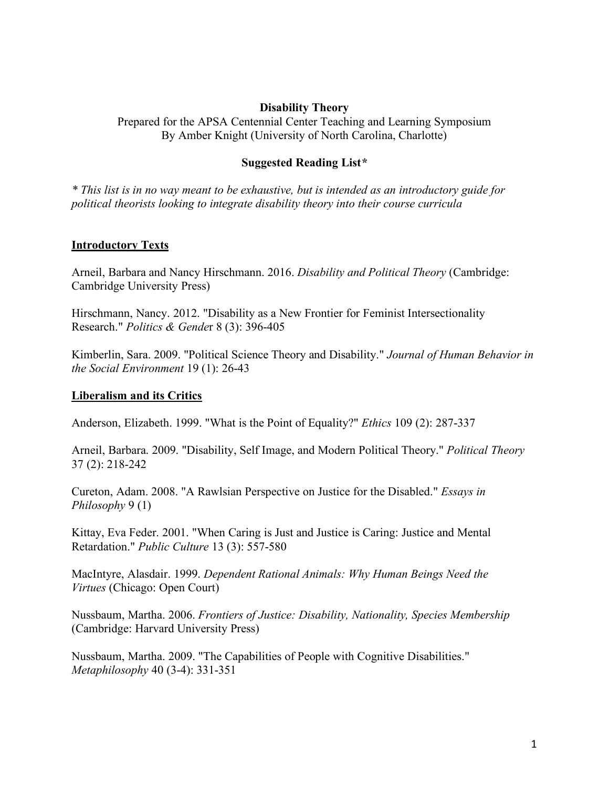### **Disability Theory**

Prepared for the APSA Centennial Center Teaching and Learning Symposium By Amber Knight (University of North Carolina, Charlotte)

#### **Suggested Reading List***\**

*\* This list is in no way meant to be exhaustive, but is intended as an introductory guide for political theorists looking to integrate disability theory into their course curricula*

#### **Introductory Texts**

Arneil, Barbara and Nancy Hirschmann. 2016. *Disability and Political Theory* (Cambridge: Cambridge University Press)

Hirschmann, Nancy. 2012. "Disability as a New Frontier for Feminist Intersectionality Research." *Politics & Gende*r 8 (3): 396-405

Kimberlin, Sara. 2009. "Political Science Theory and Disability." *Journal of Human Behavior in the Social Environment* 19 (1): 26-43

#### **Liberalism and its Critics**

Anderson, Elizabeth. 1999. "What is the Point of Equality?" *Ethics* 109 (2): 287-337

Arneil, Barbara. 2009. "Disability, Self Image, and Modern Political Theory." *Political Theory* 37 (2): 218-242

Cureton, Adam. 2008. "A Rawlsian Perspective on Justice for the Disabled." *Essays in Philosophy* 9 (1)

Kittay, Eva Feder. 2001. "When Caring is Just and Justice is Caring: Justice and Mental Retardation." *Public Culture* 13 (3): 557-580

MacIntyre, Alasdair. 1999. *Dependent Rational Animals: Why Human Beings Need the Virtues* (Chicago: Open Court)

Nussbaum, Martha. 2006. *Frontiers of Justice: Disability, Nationality, Species Membership* (Cambridge: Harvard University Press)

Nussbaum, Martha. 2009. "The Capabilities of People with Cognitive Disabilities." *Metaphilosophy* 40 (3-4): 331-351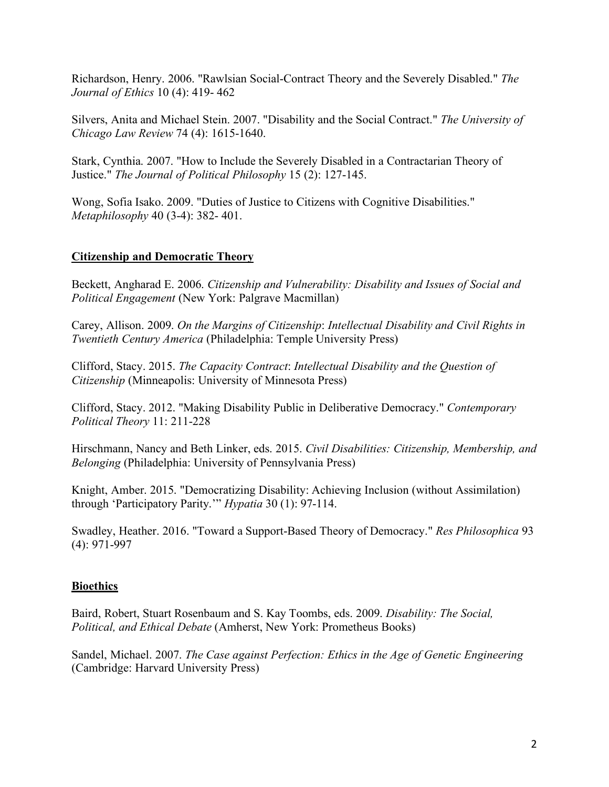Richardson, Henry. 2006. "Rawlsian Social-Contract Theory and the Severely Disabled." *The Journal of Ethics* 10 (4): 419- 462

Silvers, Anita and Michael Stein. 2007. "Disability and the Social Contract." *The University of Chicago Law Review* 74 (4): 1615-1640.

Stark, Cynthia. 2007. "How to Include the Severely Disabled in a Contractarian Theory of Justice." *The Journal of Political Philosophy* 15 (2): 127-145.

Wong, Sofia Isako. 2009. "Duties of Justice to Citizens with Cognitive Disabilities." *Metaphilosophy* 40 (3-4): 382- 401.

## **Citizenship and Democratic Theory**

Beckett, Angharad E. 2006. *Citizenship and Vulnerability: Disability and Issues of Social and Political Engagement* (New York: Palgrave Macmillan)

Carey, Allison. 2009. *On the Margins of Citizenship*: *Intellectual Disability and Civil Rights in Twentieth Century America* (Philadelphia: Temple University Press)

Clifford, Stacy. 2015. *The Capacity Contract*: *Intellectual Disability and the Question of Citizenship* (Minneapolis: University of Minnesota Press)

Clifford, Stacy. 2012. "Making Disability Public in Deliberative Democracy." *Contemporary Political Theory* 11: 211-228

Hirschmann, Nancy and Beth Linker, eds. 2015. *Civil Disabilities: Citizenship, Membership, and Belonging* (Philadelphia: University of Pennsylvania Press)

Knight, Amber. 2015. "Democratizing Disability: Achieving Inclusion (without Assimilation) through 'Participatory Parity.'" *Hypatia* 30 (1): 97-114.

Swadley, Heather. 2016. "Toward a Support-Based Theory of Democracy." *Res Philosophica* 93 (4): 971-997

### **Bioethics**

Baird, Robert, Stuart Rosenbaum and S. Kay Toombs, eds. 2009. *Disability: The Social, Political, and Ethical Debate* (Amherst, New York: Prometheus Books)

Sandel, Michael. 2007. *The Case against Perfection: Ethics in the Age of Genetic Engineering* (Cambridge: Harvard University Press)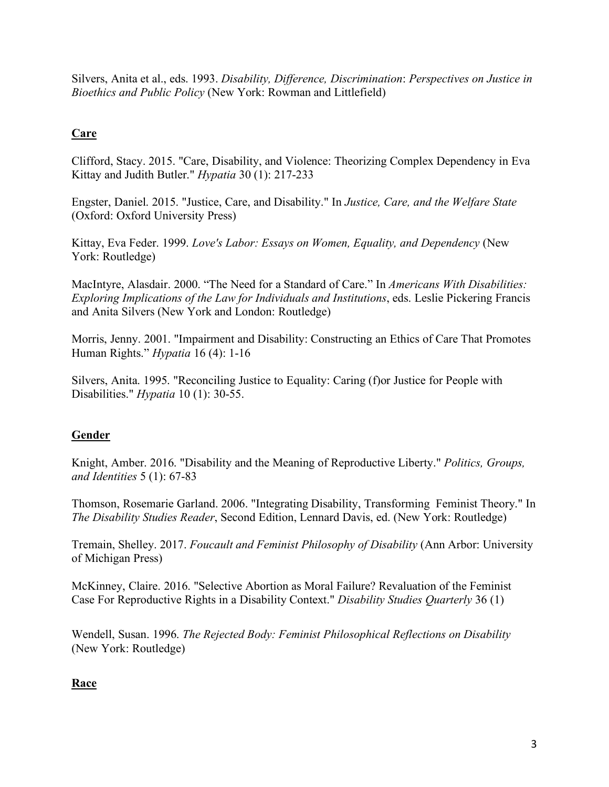Silvers, Anita et al., eds. 1993. *Disability, Difference, Discrimination*: *Perspectives on Justice in Bioethics and Public Policy* (New York: Rowman and Littlefield)

# **Care**

Clifford, Stacy. 2015. "Care, Disability, and Violence: Theorizing Complex Dependency in Eva Kittay and Judith Butler." *Hypatia* 30 (1): 217-233

Engster, Daniel. 2015. "Justice, Care, and Disability." In *Justice, Care, and the Welfare State* (Oxford: Oxford University Press)

Kittay, Eva Feder. 1999. *Love's Labor: Essays on Women, Equality, and Dependency* (New York: Routledge)

MacIntyre, Alasdair. 2000. "The Need for a Standard of Care." In *Americans With Disabilities: Exploring Implications of the Law for Individuals and Institutions*, eds. Leslie Pickering Francis and Anita Silvers (New York and London: Routledge)

Morris, Jenny. 2001. "Impairment and Disability: Constructing an Ethics of Care That Promotes Human Rights." *Hypatia* 16 (4): 1-16

Silvers, Anita. 1995. "Reconciling Justice to Equality: Caring (f)or Justice for People with Disabilities." *Hypatia* 10 (1): 30-55.

## **Gender**

Knight, Amber. 2016. "Disability and the Meaning of Reproductive Liberty." *Politics, Groups, and Identities* 5 (1): 67-83

Thomson, Rosemarie Garland. 2006. "Integrating Disability, Transforming Feminist Theory." In *The Disability Studies Reader*, Second Edition, Lennard Davis, ed. (New York: Routledge)

Tremain, Shelley. 2017. *Foucault and Feminist Philosophy of Disability* (Ann Arbor: University of Michigan Press)

McKinney, Claire. 2016. "Selective Abortion as Moral Failure? Revaluation of the Feminist Case For Reproductive Rights in a Disability Context." *Disability Studies Quarterly* 36 (1)

Wendell, Susan. 1996. *The Rejected Body: Feminist Philosophical Reflections on Disability*  (New York: Routledge)

## **Race**